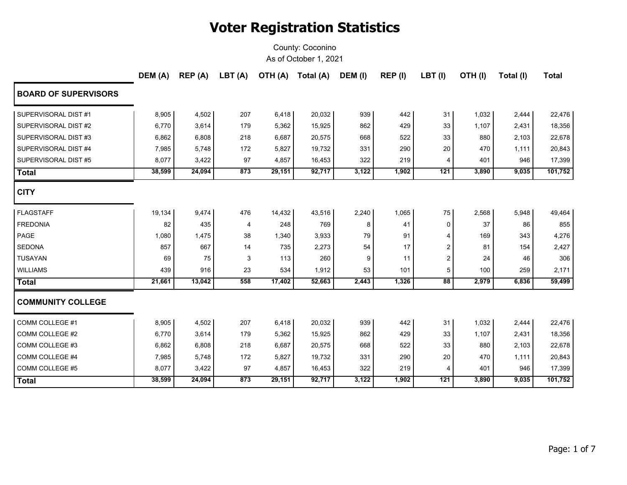|                             | DEM (A) | REP (A) | LBT(A) |        | OTH (A) Total (A) | DEM (I) | REP (I) | $LBT$ (I)      | OTH(I) | Total (I) | <b>Total</b> |
|-----------------------------|---------|---------|--------|--------|-------------------|---------|---------|----------------|--------|-----------|--------------|
| <b>BOARD OF SUPERVISORS</b> |         |         |        |        |                   |         |         |                |        |           |              |
| SUPERVISORAL DIST #1        | 8,905   | 4,502   | 207    | 6,418  | 20,032            | 939     | 442     | 31             | 1,032  | 2,444     | 22,476       |
| SUPERVISORAL DIST #2        | 6,770   | 3,614   | 179    | 5,362  | 15,925            | 862     | 429     | 33             | 1,107  | 2,431     | 18,356       |
| SUPERVISORAL DIST #3        | 6,862   | 6,808   | 218    | 6,687  | 20,575            | 668     | 522     | 33             | 880    | 2,103     | 22,678       |
| SUPERVISORAL DIST #4        | 7,985   | 5,748   | 172    | 5,827  | 19,732            | 331     | 290     | 20             | 470    | 1,111     | 20,843       |
| SUPERVISORAL DIST #5        | 8,077   | 3,422   | 97     | 4,857  | 16,453            | 322     | 219     | 4              | 401    | 946       | 17,399       |
| Total                       | 38,599  | 24,094  | 873    | 29,151 | 92,717            | 3,122   | 1,902   | 121            | 3,890  | 9,035     | 101,752      |
| <b>CITY</b>                 |         |         |        |        |                   |         |         |                |        |           |              |
| <b>FLAGSTAFF</b>            | 19,134  | 9,474   | 476    | 14,432 | 43,516            | 2,240   | 1,065   | 75             | 2,568  | 5,948     | 49,464       |
| <b>FREDONIA</b>             | 82      | 435     | 4      | 248    | 769               | 8       | 41      | 0              | 37     | 86        | 855          |
| PAGE                        | 1,080   | 1,475   | 38     | 1,340  | 3,933             | 79      | 91      | 4              | 169    | 343       | 4,276        |
| <b>SEDONA</b>               | 857     | 667     | 14     | 735    | 2,273             | 54      | 17      | 2              | 81     | 154       | 2,427        |
| <b>TUSAYAN</b>              | 69      | 75      | 3      | 113    | 260               | 9       | 11      | 2              | 24     | 46        | 306          |
| <b>WILLIAMS</b>             | 439     | 916     | 23     | 534    | 1,912             | 53      | 101     | 5              | 100    | 259       | 2,171        |
| <b>Total</b>                | 21,661  | 13,042  | 558    | 17,402 | 52,663            | 2,443   | 1,326   | 88             | 2,979  | 6,836     | 59,499       |
| <b>COMMUNITY COLLEGE</b>    |         |         |        |        |                   |         |         |                |        |           |              |
| COMM COLLEGE #1             | 8,905   | 4,502   | 207    | 6,418  | 20,032            | 939     | 442     | 31             | 1,032  | 2,444     | 22,476       |
| COMM COLLEGE #2             | 6,770   | 3,614   | 179    | 5,362  | 15,925            | 862     | 429     | 33             | 1,107  | 2,431     | 18,356       |
| COMM COLLEGE #3             | 6,862   | 6,808   | 218    | 6,687  | 20,575            | 668     | 522     | 33             | 880    | 2,103     | 22,678       |
| COMM COLLEGE #4             | 7,985   | 5,748   | 172    | 5,827  | 19,732            | 331     | 290     | 20             | 470    | 1,111     | 20,843       |
| COMM COLLEGE #5             | 8,077   | 3,422   | 97     | 4,857  | 16,453            | 322     | 219     | $\overline{4}$ | 401    | 946       | 17,399       |
| Total                       | 38,599  | 24,094  | 873    | 29,151 | 92,717            | 3,122   | 1,902   | 121            | 3,890  | 9,035     | 101,752      |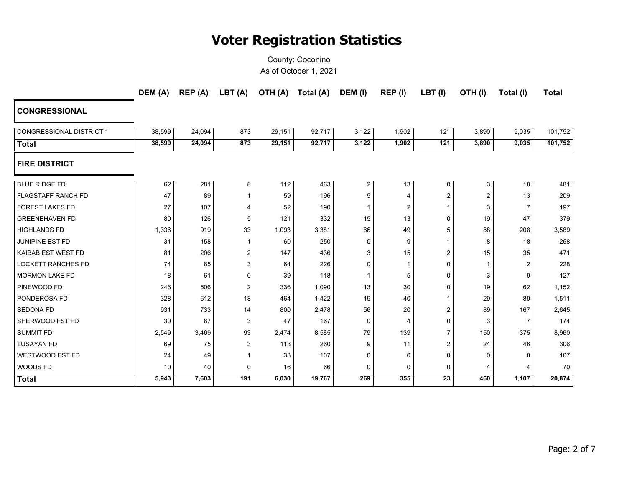|                                 | DEM (A) | REP (A) | LBT (A)      |        | OTH (A) Total (A) | DEM (I)  | REP (I) | $LBT$ (I)       | OTH(I)                | Total (I)      | <b>Total</b> |
|---------------------------------|---------|---------|--------------|--------|-------------------|----------|---------|-----------------|-----------------------|----------------|--------------|
| <b>CONGRESSIONAL</b>            |         |         |              |        |                   |          |         |                 |                       |                |              |
| <b>CONGRESSIONAL DISTRICT 1</b> | 38,599  | 24,094  | 873          | 29,151 | 92,717            | 3,122    | 1,902   | 121             | 3,890                 | 9,035          | 101,752      |
| <b>Total</b>                    | 38,599  | 24,094  | 873          | 29,151 | 92,717            | 3,122    | 1,902   | 121             | 3,890                 | 9,035          | 101,752      |
| <b>FIRE DISTRICT</b>            |         |         |              |        |                   |          |         |                 |                       |                |              |
| <b>BLUE RIDGE FD</b>            | 62      | 281     | 8            | 112    | 463               | 2        | 13      | 0               | 3                     | 18             | 481          |
| <b>FLAGSTAFF RANCH FD</b>       | 47      | 89      | -1           | 59     | 196               | 5        | 4       | 2               | $\overline{2}$        | 13             | 209          |
| <b>FOREST LAKES FD</b>          | 27      | 107     | 4            | 52     | 190               | 1        | 2       | 1               | 3                     | $\overline{7}$ | 197          |
| <b>GREENEHAVEN FD</b>           | 80      | 126     | 5            | 121    | 332               | 15       | 13      | 0               | 19                    | 47             | 379          |
| <b>HIGHLANDS FD</b>             | 1,336   | 919     | 33           | 1,093  | 3,381             | 66       | 49      | 5               | 88                    | 208            | 3,589        |
| <b>JUNIPINE EST FD</b>          | 31      | 158     | $\mathbf{1}$ | 60     | 250               | $\Omega$ | 9       |                 | 8                     | 18             | 268          |
| KAIBAB EST WEST FD              | 81      | 206     | 2            | 147    | 436               | 3        | 15      | $\overline{2}$  | 15                    | 35             | 471          |
| <b>LOCKETT RANCHES FD</b>       | 74      | 85      | 3            | 64     | 226               | 0        | 1       | $\mathbf 0$     |                       | 2              | 228          |
| <b>MORMON LAKE FD</b>           | 18      | 61      | $\mathbf 0$  | 39     | 118               | -1       | 5       | $\mathbf 0$     | 3                     | 9              | 127          |
| PINEWOOD FD                     | 246     | 506     | 2            | 336    | 1,090             | 13       | 30      | $\Omega$        | 19                    | 62             | 1,152        |
| PONDEROSA FD                    | 328     | 612     | 18           | 464    | 1,422             | 19       | 40      | $\mathbf 1$     | 29                    | 89             | 1,511        |
| <b>SEDONA FD</b>                | 931     | 733     | 14           | 800    | 2,478             | 56       | 20      | 2               | 89                    | 167            | 2,645        |
| SHERWOOD FST FD                 | 30      | 87      | 3            | 47     | 167               | 0        | 4       | $\mathbf 0$     | 3                     | $\overline{7}$ | 174          |
| <b>SUMMIT FD</b>                | 2,549   | 3,469   | 93           | 2,474  | 8,585             | 79       | 139     | 7               | 150                   | 375            | 8,960        |
| <b>TUSAYAN FD</b>               | 69      | 75      | 3            | 113    | 260               | 9        | 11      | 2               | 24                    | 46             | 306          |
| WESTWOOD EST FD                 | 24      | 49      | 1            | 33     | 107               | 0        | 0       | 0               | $\Omega$              | 0              | 107          |
| WOODS FD                        | 10      | 40      | $\mathbf 0$  | 16     | 66                | 0        | 0       | 0               | $\boldsymbol{\Delta}$ | 4              | 70           |
| <b>Total</b>                    | 5,943   | 7,603   | 191          | 6,030  | 19,767            | 269      | 355     | $\overline{23}$ | 460                   | 1,107          | 20,874       |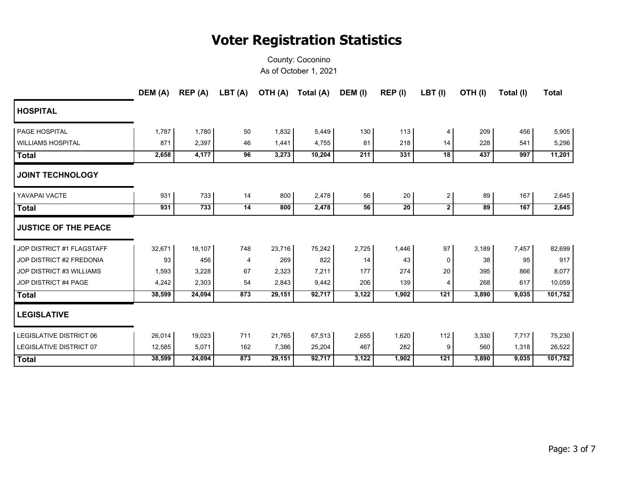|                                 | DEM (A) | REP (A) | LBT (A)        | OTH (A) | Total (A) | DEM (I) | REP (I) | LBT(I)         | OTH(I) | Total (I) | <b>Total</b> |
|---------------------------------|---------|---------|----------------|---------|-----------|---------|---------|----------------|--------|-----------|--------------|
| <b>HOSPITAL</b>                 |         |         |                |         |           |         |         |                |        |           |              |
| PAGE HOSPITAL                   | 1,787   | 1,780   | 50             | 1,832   | 5,449     | 130     | 113     | 4              | 209    | 456       | 5,905        |
| <b>WILLIAMS HOSPITAL</b>        | 871     | 2,397   | 46             | 1,441   | 4,755     | 81      | 218     | 14             | 228    | 541       | 5,296        |
| <b>Total</b>                    | 2,658   | 4,177   | 96             | 3,273   | 10,204    | 211     | 331     | 18             | 437    | 997       | 11,201       |
| <b>JOINT TECHNOLOGY</b>         |         |         |                |         |           |         |         |                |        |           |              |
| YAVAPAI VACTE                   | 931     | 733     | 14             | 800     | 2,478     | 56      | $20\,$  | $\overline{c}$ | 89     | 167       | 2,645        |
| <b>Total</b>                    | 931     | 733     | 14             | 800     | 2,478     | 56      | 20      | $\mathbf{2}$   | 89     | 167       | 2,645        |
| <b>JUSTICE OF THE PEACE</b>     |         |         |                |         |           |         |         |                |        |           |              |
| JOP DISTRICT #1 FLAGSTAFF       | 32,671  | 18,107  | 748            | 23,716  | 75,242    | 2,725   | 1,446   | 97             | 3,189  | 7,457     | 82,699       |
| JOP DISTRICT #2 FREDONIA        | 93      | 456     | $\overline{4}$ | 269     | 822       | 14      | 43      | 0              | 38     | 95        | 917          |
| <b>JOP DISTRICT #3 WILLIAMS</b> | 1,593   | 3,228   | 67             | 2,323   | 7,211     | 177     | 274     | 20             | 395    | 866       | 8,077        |
| JOP DISTRICT #4 PAGE            | 4,242   | 2,303   | 54             | 2,843   | 9,442     | 206     | 139     | 4              | 268    | 617       | 10,059       |
| <b>Total</b>                    | 38,599  | 24,094  | 873            | 29,151  | 92,717    | 3,122   | 1,902   | 121            | 3,890  | 9,035     | 101,752      |
| <b>LEGISLATIVE</b>              |         |         |                |         |           |         |         |                |        |           |              |
| <b>LEGISLATIVE DISTRICT 06</b>  | 26,014  | 19,023  | 711            | 21,765  | 67,513    | 2,655   | 1,620   | 112            | 3,330  | 7,717     | 75,230       |
| <b>LEGISLATIVE DISTRICT 07</b>  | 12,585  | 5,071   | 162            | 7,386   | 25,204    | 467     | 282     | 9              | 560    | 1,318     | 26,522       |
| <b>Total</b>                    | 38,599  | 24,094  | 873            | 29,151  | 92,717    | 3,122   | 1,902   | 121            | 3,890  | 9,035     | 101,752      |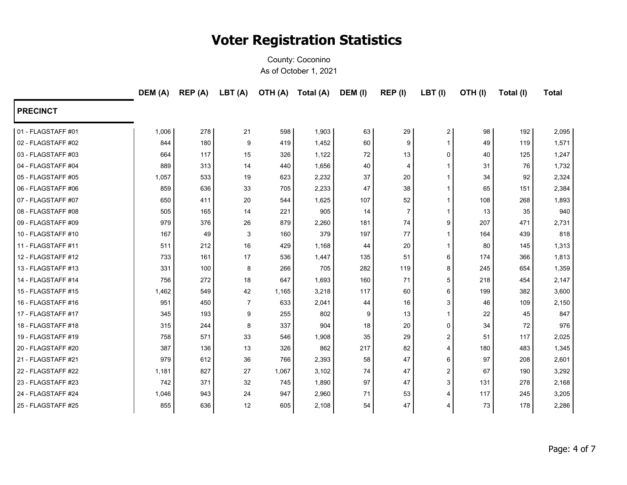|                    | DEM (A) | REP (A) | LBT(A)         | (A) HTO | Total (A) | DEM (I) | REP (I) | LBT(I)         | OTH(I) | Total (I) | <b>Total</b> |
|--------------------|---------|---------|----------------|---------|-----------|---------|---------|----------------|--------|-----------|--------------|
| <b>PRECINCT</b>    |         |         |                |         |           |         |         |                |        |           |              |
| 01 - FLAGSTAFF #01 | 1,006   | 278     | 21             | 598     | 1,903     | 63      | 29      | 2              | 98     | 192       | 2,095        |
| 02 - FLAGSTAFF #02 | 844     | 180     | 9              | 419     | 1,452     | 60      | 9       |                | 49     | 119       | 1,571        |
| 03 - FLAGSTAFF #03 | 664     | 117     | 15             | 326     | 1,122     | 72      | 13      | 0              | 40     | 125       | 1,247        |
| 04 - FLAGSTAFF #04 | 889     | 313     | 14             | 440     | 1,656     | 40      | 4       |                | 31     | 76        | 1,732        |
| 05 - FLAGSTAFF #05 | 1,057   | 533     | 19             | 623     | 2,232     | 37      | 20      |                | 34     | 92        | 2,324        |
| 06 - FLAGSTAFF #06 | 859     | 636     | 33             | 705     | 2,233     | 47      | 38      |                | 65     | 151       | 2,384        |
| 07 - FLAGSTAFF #07 | 650     | 411     | 20             | 544     | 1,625     | 107     | 52      |                | 108    | 268       | 1,893        |
| 08 - FLAGSTAFF #08 | 505     | 165     | 14             | 221     | 905       | 14      | 7       |                | 13     | 35        | 940          |
| 09 - FLAGSTAFF #09 | 979     | 376     | 26             | 879     | 2,260     | 181     | 74      | 9              | 207    | 471       | 2,731        |
| 10 - FLAGSTAFF #10 | 167     | 49      | 3              | 160     | 379       | 197     | 77      |                | 164    | 439       | 818          |
| 11 - FLAGSTAFF #11 | 511     | 212     | 16             | 429     | 1,168     | 44      | 20      |                | 80     | 145       | 1,313        |
| 12 - FLAGSTAFF #12 | 733     | 161     | 17             | 536     | 1,447     | 135     | 51      | 6              | 174    | 366       | 1,813        |
| 13 - FLAGSTAFF #13 | 331     | 100     | 8              | 266     | 705       | 282     | 119     | 8              | 245    | 654       | 1,359        |
| 14 - FLAGSTAFF #14 | 756     | 272     | 18             | 647     | 1,693     | 160     | 71      | 5              | 218    | 454       | 2,147        |
| 15 - FLAGSTAFF #15 | 1,462   | 549     | 42             | 1,165   | 3,218     | 117     | 60      | 6              | 199    | 382       | 3,600        |
| 16 - FLAGSTAFF #16 | 951     | 450     | $\overline{7}$ | 633     | 2,041     | 44      | 16      | 3              | 46     | 109       | 2,150        |
| 17 - FLAGSTAFF #17 | 345     | 193     | 9              | 255     | 802       | 9       | 13      |                | 22     | 45        | 847          |
| 18 - FLAGSTAFF #18 | 315     | 244     | 8              | 337     | 904       | 18      | 20      | 0              | 34     | 72        | 976          |
| 19 - FLAGSTAFF #19 | 758     | 571     | 33             | 546     | 1,908     | 35      | 29      | $\overline{c}$ | 51     | 117       | 2,025        |
| 20 - FLAGSTAFF #20 | 387     | 136     | 13             | 326     | 862       | 217     | 82      | 4              | 180    | 483       | 1,345        |
| 21 - FLAGSTAFF #21 | 979     | 612     | 36             | 766     | 2,393     | 58      | 47      | 6              | 97     | 208       | 2,601        |
| 22 - FLAGSTAFF #22 | 1,181   | 827     | 27             | 1,067   | 3,102     | 74      | 47      | $\overline{2}$ | 67     | 190       | 3,292        |
| 23 - FLAGSTAFF #23 | 742     | 371     | 32             | 745     | 1,890     | 97      | 47      | 3              | 131    | 278       | 2,168        |
| 24 - FLAGSTAFF #24 | 1,046   | 943     | 24             | 947     | 2,960     | 71      | 53      | 4              | 117    | 245       | 3,205        |
| 25 - FLAGSTAFF #25 | 855     | 636     | 12             | 605     | 2,108     | 54      | 47      | 4              | 73     | 178       | 2,286        |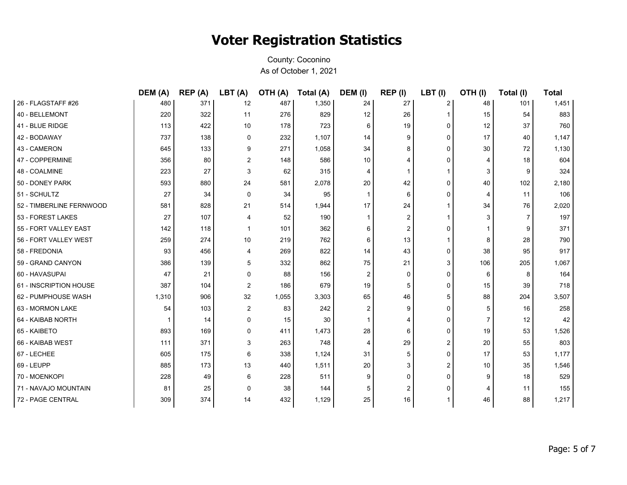|                          | DEM (A) | REP (A) | LBT (A)        | OTH (A) | Total (A) | DEM (I)      | REP (I)        | LBT(I)         | OTH(I)         | Total (I) | <b>Total</b> |
|--------------------------|---------|---------|----------------|---------|-----------|--------------|----------------|----------------|----------------|-----------|--------------|
| 26 - FLAGSTAFF #26       | 480     | 371     | 12             | 487     | 1,350     | 24           | 27             | 2              | 48             | 101       | 1,451        |
| 40 - BELLEMONT           | 220     | 322     | 11             | 276     | 829       | 12           | 26             | $\mathbf{1}$   | 15             | 54        | 883          |
| 41 - BLUE RIDGE          | 113     | 422     | 10             | 178     | 723       | 6            | 19             | 0              | 12             | 37        | 760          |
| 42 - BODAWAY             | 737     | 138     | $\mathbf 0$    | 232     | 1,107     | 14           | 9              | 0              | 17             | 40        | 1,147        |
| 43 - CAMERON             | 645     | 133     | 9              | 271     | 1,058     | 34           | 8              | 0              | 30             | 72        | 1,130        |
| 47 - COPPERMINE          | 356     | 80      | $\overline{2}$ | 148     | 586       | 10           | 4              | 0              | 4              | 18        | 604          |
| 48 - COALMINE            | 223     | 27      | 3              | 62      | 315       | 4            |                | 1              | 3              | 9         | 324          |
| 50 - DONEY PARK          | 593     | 880     | 24             | 581     | 2,078     | 20           | 42             | 0              | 40             | 102       | 2,180        |
| 51 - SCHULTZ             | 27      | 34      | $\mathbf 0$    | 34      | 95        | $\mathbf{1}$ | 6              | 0              | 4              | 11        | 106          |
| 52 - TIMBERLINE FERNWOOD | 581     | 828     | 21             | 514     | 1,944     | 17           | 24             | 1              | 34             | 76        | 2,020        |
| 53 - FOREST LAKES        | 27      | 107     | 4              | 52      | 190       |              | 2              | 1              | 3              | 7         | 197          |
| 55 - FORT VALLEY EAST    | 142     | 118     | $\mathbf{1}$   | 101     | 362       | 6            | $\overline{2}$ | 0              |                | 9         | 371          |
| 56 - FORT VALLEY WEST    | 259     | 274     | 10             | 219     | 762       | 6            | 13             | 1              | 8              | 28        | 790          |
| 58 - FREDONIA            | 93      | 456     | 4              | 269     | 822       | 14           | 43             | 0              | 38             | 95        | 917          |
| 59 - GRAND CANYON        | 386     | 139     | 5              | 332     | 862       | 75           | 21             | 3              | 106            | 205       | 1,067        |
| 60 - HAVASUPAI           | 47      | 21      | $\Omega$       | 88      | 156       | 2            | $\Omega$       | 0              | 6              | 8         | 164          |
| 61 - INSCRIPTION HOUSE   | 387     | 104     | 2              | 186     | 679       | 19           | 5              | 0              | 15             | 39        | 718          |
| 62 - PUMPHOUSE WASH      | 1,310   | 906     | 32             | 1,055   | 3,303     | 65           | 46             | 5              | 88             | 204       | 3,507        |
| 63 - MORMON LAKE         | 54      | 103     | 2              | 83      | 242       | 2            | 9              | 0              | 5              | 16        | 258          |
| 64 - KAIBAB NORTH        | 1       | 14      | 0              | 15      | 30        |              | 4              | 0              | $\overline{7}$ | 12        | 42           |
| 65 - KAIBETO             | 893     | 169     | 0              | 411     | 1,473     | 28           | 6              | 0              | 19             | 53        | 1,526        |
| 66 - KAIBAB WEST         | 111     | 371     | 3              | 263     | 748       | 4            | 29             | $\overline{2}$ | 20             | 55        | 803          |
| 67 - LECHEE              | 605     | 175     | 6              | 338     | 1,124     | 31           | 5              | 0              | 17             | 53        | 1,177        |
| 69 - LEUPP               | 885     | 173     | 13             | 440     | 1,511     | 20           | 3              | $\overline{2}$ | 10             | 35        | 1,546        |
| 70 - MOENKOPI            | 228     | 49      | 6              | 228     | 511       | 9            | $\Omega$       | 0              | 9              | 18        | 529          |
| 71 - NAVAJO MOUNTAIN     | 81      | 25      | $\Omega$       | 38      | 144       | 5            | $\overline{2}$ | 0              | 4              | 11        | 155          |
| 72 - PAGE CENTRAL        | 309     | 374     | 14             | 432     | 1,129     | 25           | 16             | 1              | 46             | 88        | 1,217        |
|                          |         |         |                |         |           |              |                |                |                |           |              |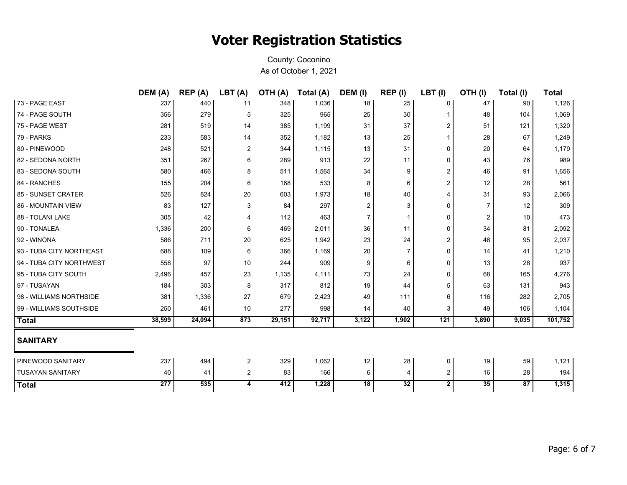|                          | DEM (A) | REP (A) | LBT(A)         | OTH (A) | Total (A) | DEM (I)         | REP(I)       | LBT(I)         | OTH(I)         | Total (I) | <b>Total</b> |
|--------------------------|---------|---------|----------------|---------|-----------|-----------------|--------------|----------------|----------------|-----------|--------------|
| 73 - PAGE EAST           | 237     | 440     | 11             | 348     | 1,036     | 18              | 25           | 0              | 47             | 90        | 1,126        |
| 74 - PAGE SOUTH          | 356     | 279     | 5              | 325     | 965       | 25              | 30           | 1              | 48             | 104       | 1,069        |
| 75 - PAGE WEST           | 281     | 519     | 14             | 385     | 1,199     | 31              | 37           | 2              | 51             | 121       | 1,320        |
| 79 - PARKS               | 233     | 583     | 14             | 352     | 1,182     | 13              | 25           | $\mathbf{1}$   | 28             | 67        | 1,249        |
| 80 - PINEWOOD            | 248     | 521     | $\overline{2}$ | 344     | 1,115     | 13              | 31           | 0              | 20             | 64        | 1,179        |
| 82 - SEDONA NORTH        | 351     | 267     | 6              | 289     | 913       | 22              | 11           | 0              | 43             | 76        | 989          |
| 83 - SEDONA SOUTH        | 580     | 466     | 8              | 511     | 1,565     | 34              | 9            | 2              | 46             | 91        | 1,656        |
| 84 - RANCHES             | 155     | 204     | 6              | 168     | 533       | 8               | 6            | 2              | 12             | 28        | 561          |
| 85 - SUNSET CRATER       | 526     | 824     | 20             | 603     | 1,973     | 18              | 40           | 4              | 31             | 93        | 2,066        |
| 86 - MOUNTAIN VIEW       | 83      | 127     | 3              | 84      | 297       | $\overline{2}$  | 3            | 0              | $\overline{7}$ | 12        | 309          |
| 88 - TOLANI LAKE         | 305     | 42      | 4              | 112     | 463       | $\overline{7}$  | $\mathbf{1}$ | 0              | 2              | 10        | 473          |
| 90 - TONALEA             | 1,336   | 200     | 6              | 469     | 2,011     | 36              | 11           | 0              | 34             | 81        | 2,092        |
| 92 - WINONA              | 586     | 711     | 20             | 625     | 1,942     | 23              | 24           | 2              | 46             | 95        | 2,037        |
| 93 - TUBA CITY NORTHEAST | 688     | 109     | 6              | 366     | 1,169     | 20              | 7            | 0              | 14             | 41        | 1,210        |
| 94 - TUBA CITY NORTHWEST | 558     | 97      | 10             | 244     | 909       | 9               | 6            | 0              | 13             | 28        | 937          |
| 95 - TUBA CITY SOUTH     | 2,496   | 457     | 23             | 1,135   | 4,111     | 73              | 24           | 0              | 68             | 165       | 4,276        |
| 97 - TUSAYAN             | 184     | 303     | 8              | 317     | 812       | 19              | 44           | 5              | 63             | 131       | 943          |
| 98 - WILLIAMS NORTHSIDE  | 381     | 1,336   | 27             | 679     | 2,423     | 49              | 111          | 6              | 116            | 282       | 2,705        |
| 99 - WILLIAMS SOUTHSIDE  | 250     | 461     | 10             | 277     | 998       | 14              | 40           | 3              | 49             | 106       | 1,104        |
| <b>Total</b>             | 38,599  | 24,094  | 873            | 29,151  | 92,717    | 3,122           | 1,902        | 121            | 3,890          | 9,035     | 101,752      |
| <b>SANITARY</b>          |         |         |                |         |           |                 |              |                |                |           |              |
| <b>PINEWOOD SANITARY</b> | 237     | 494     | $\overline{2}$ | 329     | 1,062     | 12              | 28           | 0              | 19             | 59        | 1,121        |
| <b>TUSAYAN SANITARY</b>  | 40      | 41      | $\overline{a}$ | 83      | 166       | 6               | 4            | $\overline{c}$ | 16             | 28        | 194          |
| <b>Total</b>             | 277     | 535     | 4              | 412     | 1,228     | $\overline{18}$ | 32           | $\mathbf{2}$   | 35             | 87        | 1,315        |